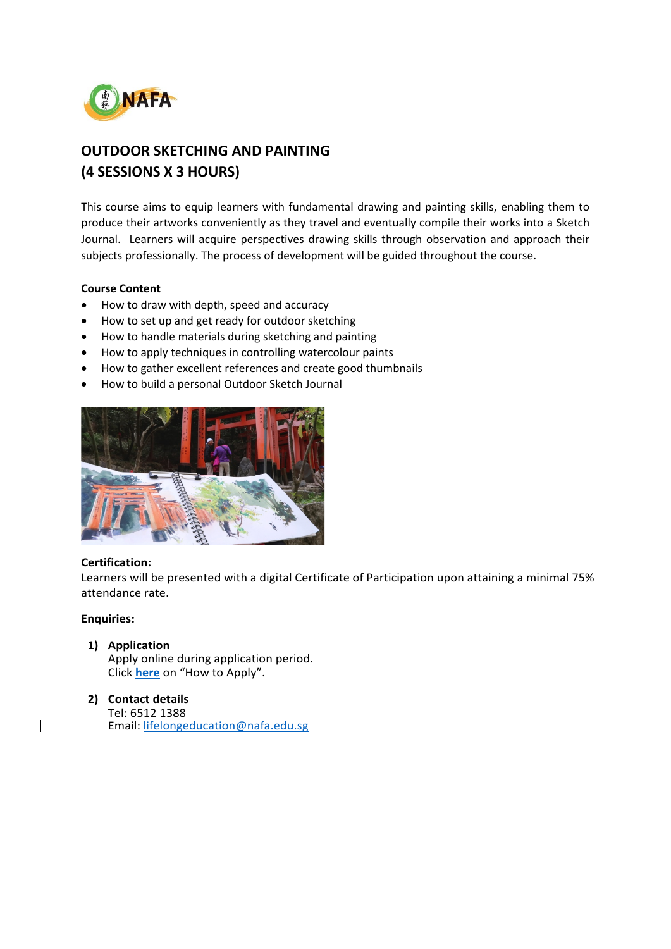

# **OUTDOOR SKETCHING AND PAINTING (4 SESSIONS X 3 HOURS)**

This course aims to equip learners with fundamental drawing and painting skills, enabling them to produce their artworks conveniently as they travel and eventually compile their works into a Sketch Journal. Learners will acquire perspectives drawing skills through observation and approach their subjects professionally. The process of development will be guided throughout the course.

# **Course Content**

- How to draw with depth, speed and accuracy
- How to set up and get ready for outdoor sketching
- How to handle materials during sketching and painting
- How to apply techniques in controlling watercolour paints
- How to gather excellent references and create good thumbnails
- How to build a personal Outdoor Sketch Journal



## **Certification:**

Learners will be presented with a digital Certificate of Participation upon attaining a minimal 75% attendance rate.

## **Enquiries:**

**1) Application**

Apply online during application period. Click **[here](https://www.nafa.edu.sg/courses/part-time/short-courses#collapseFive)** on "How to Apply".

#### **2) Contact details** Tel: 6512 1388 Email: [lifelongeducation@nafa.edu.sg](mailto:lifelongeducation@nafa.edu.sg)